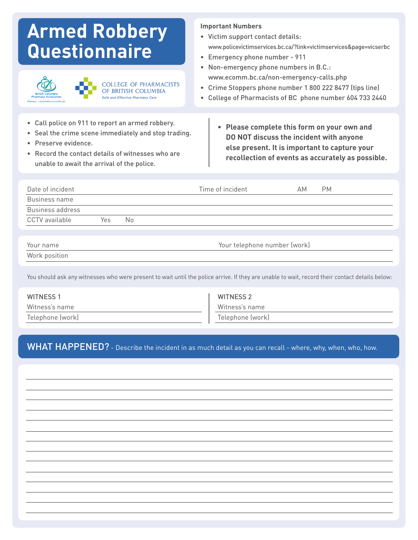# **Armed Robbery Questionnaire**





### **Important Numbers**

- • Victim support contact details: www.policevictimservices.bc.ca/?link=victimservices&page=vicserbc
- • Emergency phone number 911
- Non-emergency phone numbers in B.C.: www.ecomm.bc.ca/non-emergency-calls.php
- • Crime Stoppers phone number 1 800 222 8477 (tips line)
- • College of Pharmacists of BC phone number 604 733 2440
- • Call police on 911 to report an armed robbery.
- • Seal the crime scene immediately and stop trading. • Preserve evidence.
- Record the contact details of witnesses who are unable to await the arrival of the police.
- **• Please complete this form on your own and DO NOT discuss the incident with anyone else present. It is important to capture your recollection of events as accurately as possible.**

| Date of incident |     |    | Time of incident                                                                                                                                                                                                                | АM | <b>PM</b> |  |
|------------------|-----|----|---------------------------------------------------------------------------------------------------------------------------------------------------------------------------------------------------------------------------------|----|-----------|--|
| Business name    |     |    |                                                                                                                                                                                                                                 |    |           |  |
| Business address |     |    |                                                                                                                                                                                                                                 |    |           |  |
| CCTV available   | Yes | No |                                                                                                                                                                                                                                 |    |           |  |
|                  |     |    |                                                                                                                                                                                                                                 |    |           |  |
| .                |     |    | $\sim$ . The contract of the contract of the contract of the contract of the contract of the contract of the contract of the contract of the contract of the contract of the contract of the contract of the contract of the co |    |           |  |

| Your name     |
|---------------|
| Work position |

Your telephone number (work)

You should ask any witnesses who were present to wait until the police arrive. If they are unable to wait, record their contact details below:

| <b>WITNESS 1</b> | WITNESS 2        |
|------------------|------------------|
| Witness's name   | Witness's name   |
| Telephone (work) | Telephone (work) |

WHAT HAPPENED? - Describe the incident in as much detail as you can recall - where, why, when, who, how.